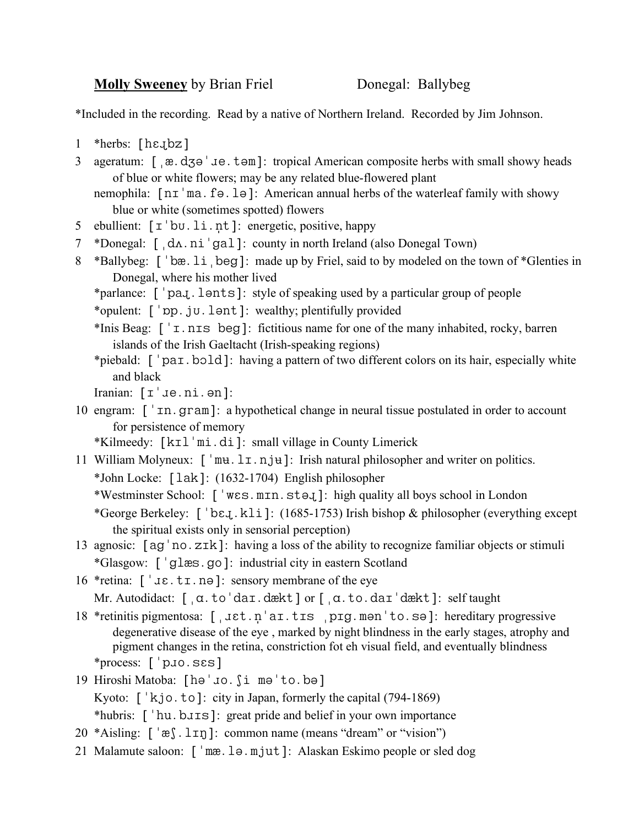**Molly Sweeney** by Brian Friel Donegal: Ballybeg

\*Included in the recording. Read by a native of Northern Ireland. Recorded by Jim Johnson.

- 1 \*herbs:  $[hezbz]$
- 3 ageratum: [ $\alpha$ .d3 $\theta$  ' $\alpha$ .tem]: tropical American composite herbs with small showy heads of blue or white flowers; may be any related blue-flowered plant
	- nemophila:  $\lceil n\tau \rceil$  ma. f  $\theta$ . l  $\theta$  ]: American annual herbs of the waterleaf family with showy blue or white (sometimes spotted) flowers
- 5 ebullient: [ $\tau$ 'bu.li.nt]: energetic, positive, happy
- 7 \*Donegal:  $\int dx \cdot \text{n}i'gal$ : county in north Ireland (also Donegal Town)
- 8 \*Ballybeg: [bæ.li beg]: made up by Friel, said to by modeled on the town of \*Glenties in Donegal, where his mother lived
	- \*parlance: [ 'pa.]. lonts]: style of speaking used by a particular group of people
	- \*opulent: ['pp.ju.lənt]: wealthy; plentifully provided
	- \*Inis Beag:  $\lceil \cdot \rceil$   $\lceil \cdot \rceil$   $\lceil \cdot \rceil$   $\lceil \cdot \rceil$  fictitious name for one of the many inhabited, rocky, barren islands of the Irish Gaeltacht (Irish-speaking regions)
	- \*piebald: [ 'par. bold]: having a pattern of two different colors on its hair, especially white and black
	- Iranian:  $[\mathbf{I}^{\top} \mathbf{J} \mathbf{e} \cdot \mathbf{n} \mathbf{i} \cdot \mathbf{e} \mathbf{n}]$ :
- 10 engram:  $\lceil \cdot \text{sn} \cdot \text{gram} \rceil$ : a hypothetical change in neural tissue postulated in order to account for persistence of memory
	- \*Kilmeedy: [kɪl 'mi.di]: small village in County Limerick
- 11 William Molyneux:  $\lceil \n\cdot \text{mu} \cdot \text{ln} \cdot \text{ln} \cdot \text{ln} \cdot \text{ln} \cdot \text{ln} \cdot \text{ln} \cdot \text{ln} \cdot \text{ln} \cdot \text{ln} \cdot \text{ln} \cdot \text{ln} \cdot \text{ln} \cdot \text{ln} \cdot \text{ln} \cdot \text{ln} \cdot \text{ln} \cdot \text{ln} \cdot \text{ln} \cdot \text{ln} \cdot \text{ln} \cdot \text{ln} \cdot \text{ln} \cdot \text{ln} \cdot \text{ln} \cdot \text{ln} \cdot \text{ln} \cdot \text{$ \*John Locke: [lak]: (1632-1704) English philosopher
	- \*Westminster School: ['wɛs.mɪn.stəx]: high quality all boys school in London
	- \*George Berkeley:  $\lceil \cdot \log_1 \cdot k \rceil$ : (1685-1753) Irish bishop & philosopher (everything except the spiritual exists only in sensorial perception)
- 13 agnosic:  $[ag'no.z\tau k]$ : having a loss of the ability to recognize familiar objects or stimuli \*Glasgow: [ 'glæs.go]: industrial city in eastern Scotland
- 16 \* retina:  $\lceil$  '  $\text{J}\varepsilon$ .  $t\text{I}$ .  $n\theta$  ]: sensory membrane of the eye
	- Mr. Autodidact:  $\left[\right.$   $\alpha$ . to 'dar.dækt] or  $\left[\right.$   $\alpha$ . to.dar'dækt]: self taught
- 18 \*retinitis pigmentosa: [,  $\text{jet.n}'$ ar.trs prg.men'to.se]: hereditary progressive degenerative disease of the eye , marked by night blindness in the early stages, atrophy and pigment changes in the retina, constriction fot eh visual field, and eventually blindness  $*$ process:  $\lceil$  p.jo.sss]
- 19 Hiroshi Matoba: [hə'uo. ji mə'to.bə] Kyoto:  $\lceil k \rceil$   $\leq$   $\lfloor k \rfloor$   $\leq$   $\lfloor k \rfloor$   $\leq$   $\lfloor k \rfloor$   $\lfloor k \rfloor$   $\lfloor k \rfloor$   $\lfloor k \rfloor$   $\lfloor k \rfloor$   $\lfloor k \rfloor$   $\lfloor k \rfloor$   $\lfloor k \rfloor$   $\lfloor k \rfloor$   $\lfloor k \rfloor$   $\lfloor k \rfloor$   $\lfloor k \rfloor$   $\lfloor k \rfloor$   $\lfloor k \rfloor$   $\lfloor k \rfloor$   $\lfloor k \rfloor$   $\lfloor k \$ \*hubris: [  $'$  hu.buts]: great pride and belief in your own importance
- 20 \*Aisling:  $\lceil \n\begin{array}{c} \n\text{``a)}. \n\end{array}$  : common name (means "dream" or "vision")
- 21 Malamute saloon: [ 'mæ. lə. mjut]: Alaskan Eskimo people or sled dog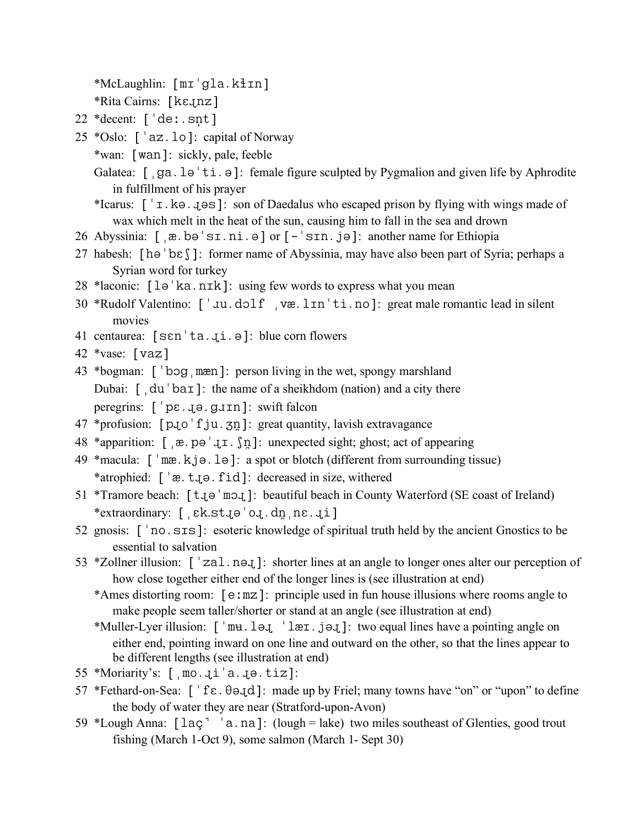$*McLaughlin: [mr'gla.kIIn]$ 

\*Rita Cairns:  $[k \epsilon q n z]$ 

- 22  $*$  decent:  $\lceil \cdot \text{de} \cdot \cdot \text{snt} \rceil$
- 25  $*Oslo: ['az.lo]: capital of Norway$ 
	- \*wan: [wan]: sickly, pale, feeble
	- Galatea:  $\lceil$  ga.  $\text{le}^{\dagger}$  ti.  $\vartheta$  : female figure sculpted by Pygmalion and given life by Aphrodite in fulfillment of his prayer
	- \*Icarus:  $\lceil \cdot r \rceil$ . ko. 1 as  $\lceil \cdot r \rceil$ : son of Daedalus who escaped prison by flying with wings made of wax which melt in the heat of the sun, causing him to fall in the sea and drown
- 26 Abyssinia: [æ.bs.ni.] or [-sn.j]: another name for Ethiopia
- 27 habesh:  $\lceil h\theta \rceil$ : former name of Abyssinia, may have also been part of Syria; perhaps a Syrian word for turkey
- 28 \*laconic: [lə 'ka.nɪk]: using few words to express what you mean
- 30 \*Rudolf Valentino: ['Ju.dolf væ.lɪn'ti.no]: great male romantic lead in silent movies
- 41 centaurea:  $[sen'ta.4i.9]: blue corn flowers$
- 42 \*vase: [vaz]
- 43 \*bogman:  $\lceil \cdot \log \rceil$  mæn]: person living in the wet, spongy marshland Dubai:  $\int$  du  $\bar{b}$  ba $\bar{c}$ ]: the name of a sheikhdom (nation) and a city there peregrins:  $\lceil \cdot p \varepsilon \cdot q \cdot q \cdot q \cdot q \rceil$ : swift falcon
- $47$  \*profusion:  $[p_1o' f_ju. \nabla n]$ : great quantity, lavish extravagance
- 48 \*apparition:  $[a, b] = [a, b] = [a, b]$ : unexpected sight; ghost; act of appearing
- 49 \* macula:  $\lceil \cdot \text{max. k} \rceil$  = . L =  $\lceil \cdot \text{max. k} \rceil$ : a spot or blotch (different from surrounding tissue) \*atrophied: ['æ.t.jo.fid]: decreased in size, withered
- 51 \*Tramore beach:  $\lceil \text{t}_0 \rceil$ : beautiful beach in County Waterford (SE coast of Ireland) \*extraordinary: [ [ck.st.jo'o.dn ne.ji]
- 52 gnosis:  $\lceil \cdot \text{no} \rceil$ : esoteric knowledge of spiritual truth held by the ancient Gnostics to be essential to salvation
- 53 \*Zollner illusion:  $\lceil$  'zal.neq.]: shorter lines at an angle to longer ones alter our perception of how close together either end of the longer lines is (see illustration at end)
	- \*Ames distorting room:  $[e: mz]$ : principle used in fun house illusions where rooms angle to make people seem taller/shorter or stand at an angle (see illustration at end)
	- \*Muller-Lyer illusion:  $\lceil \cdot \text{mu} \rceil$ . leg.  $\lceil \cdot \text{len} \rceil$ : two equal lines have a pointing angle on either end, pointing inward on one line and outward on the other, so that the lines appear to be different lengths (see illustration at end)
- 55 \*Moriarity's:  $[mo.4i'a.4e.1i'z]$ :
- 57 \*Fethard-on-Sea:  $\lceil \frac{1}{5} \varepsilon \cdot \theta \cdot d \rceil$ : made up by Friel; many towns have "on" or "upon" to define the body of water they are near (Stratford-upon-Avon)
- 59 \*Lough Anna:  $\lceil$  lac<sup>-</sup>  $\lceil$  a.na]: (lough = lake) two miles southeast of Glenties, good trout fishing (March 1-Oct 9), some salmon (March 1- Sept 30)